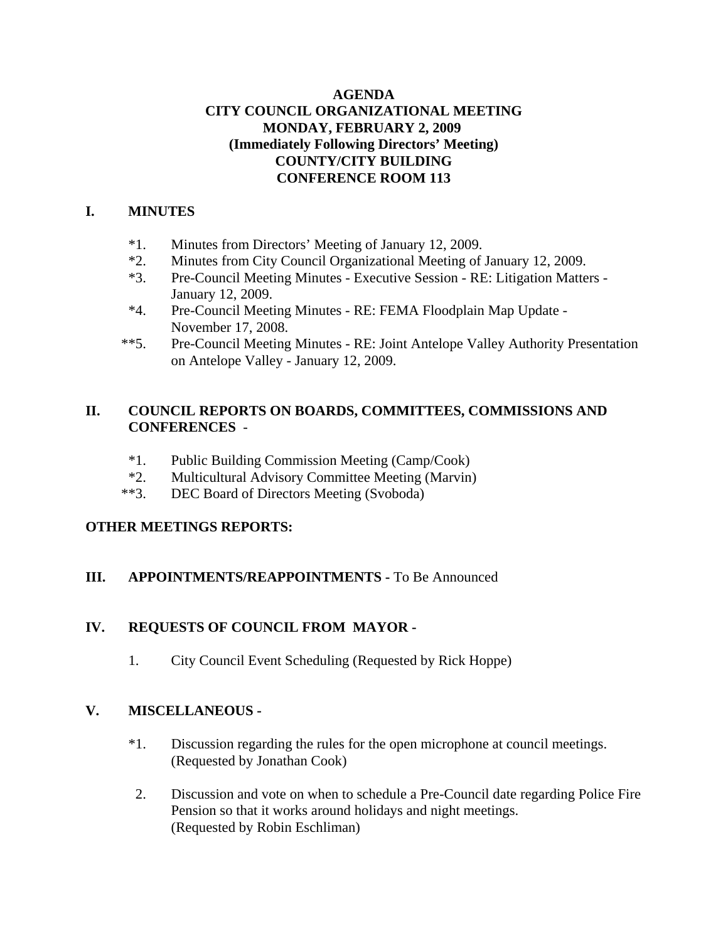# **AGENDA CITY COUNCIL ORGANIZATIONAL MEETING MONDAY, FEBRUARY 2, 2009 (Immediately Following Directors' Meeting) COUNTY/CITY BUILDING CONFERENCE ROOM 113**

# **I. MINUTES**

- \*1. Minutes from Directors' Meeting of January 12, 2009.
- \*2. Minutes from City Council Organizational Meeting of January 12, 2009.
- \*3. Pre-Council Meeting Minutes Executive Session RE: Litigation Matters January 12, 2009.
- \*4. Pre-Council Meeting Minutes RE: FEMA Floodplain Map Update November 17, 2008.
- \*\*5. Pre-Council Meeting Minutes RE: Joint Antelope Valley Authority Presentation on Antelope Valley - January 12, 2009.

# **II. COUNCIL REPORTS ON BOARDS, COMMITTEES, COMMISSIONS AND CONFERENCES** -

- \*1. Public Building Commission Meeting (Camp/Cook)
- \*2. Multicultural Advisory Committee Meeting (Marvin)
- \*\*3. DEC Board of Directors Meeting (Svoboda)

# **OTHER MEETINGS REPORTS:**

# **III.** APPOINTMENTS/REAPPOINTMENTS - To Be Announced

# **IV. REQUESTS OF COUNCIL FROM MAYOR -**

1. City Council Event Scheduling (Requested by Rick Hoppe)

# **V. MISCELLANEOUS -**

- \*1. Discussion regarding the rules for the open microphone at council meetings. (Requested by Jonathan Cook)
- 2. Discussion and vote on when to schedule a Pre-Council date regarding Police Fire Pension so that it works around holidays and night meetings. (Requested by Robin Eschliman)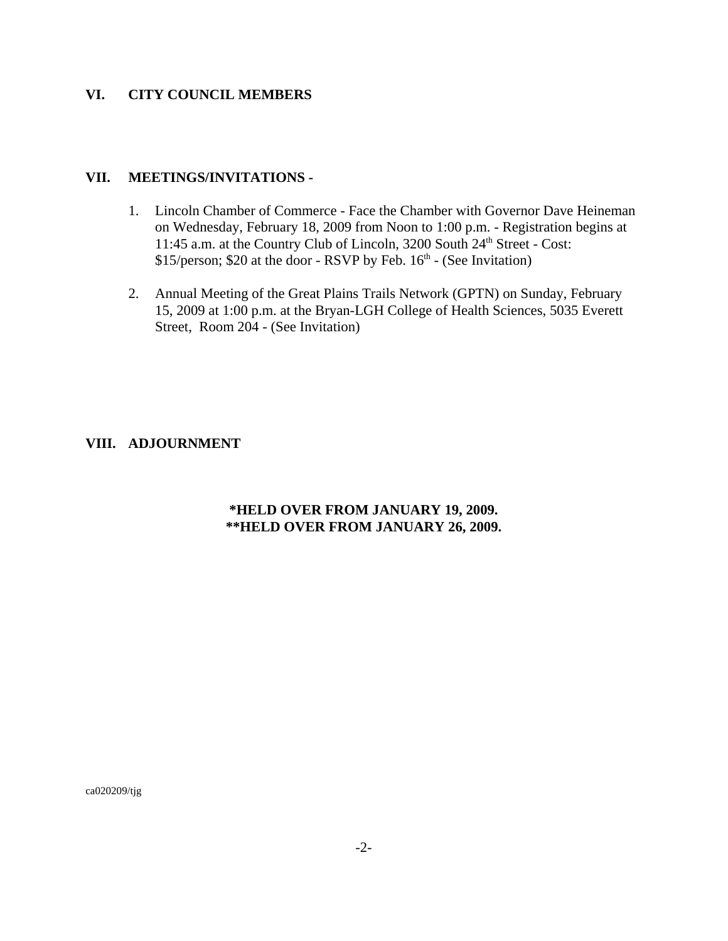#### **VI. CITY COUNCIL MEMBERS**

#### **VII. MEETINGS/INVITATIONS -**

- 1. Lincoln Chamber of Commerce Face the Chamber with Governor Dave Heineman on Wednesday, February 18, 2009 from Noon to 1:00 p.m. - Registration begins at 11:45 a.m. at the Country Club of Lincoln, 3200 South 24<sup>th</sup> Street - Cost:  $$15/person; $20$  at the door - RSVP by Feb.  $16<sup>th</sup>$  - (See Invitation)
- 2. Annual Meeting of the Great Plains Trails Network (GPTN) on Sunday, February 15, 2009 at 1:00 p.m. at the Bryan-LGH College of Health Sciences, 5035 Everett Street, Room 204 - (See Invitation)

### **VIII. ADJOURNMENT**

### **\*HELD OVER FROM JANUARY 19, 2009. \*\*HELD OVER FROM JANUARY 26, 2009.**

ca020209/tjg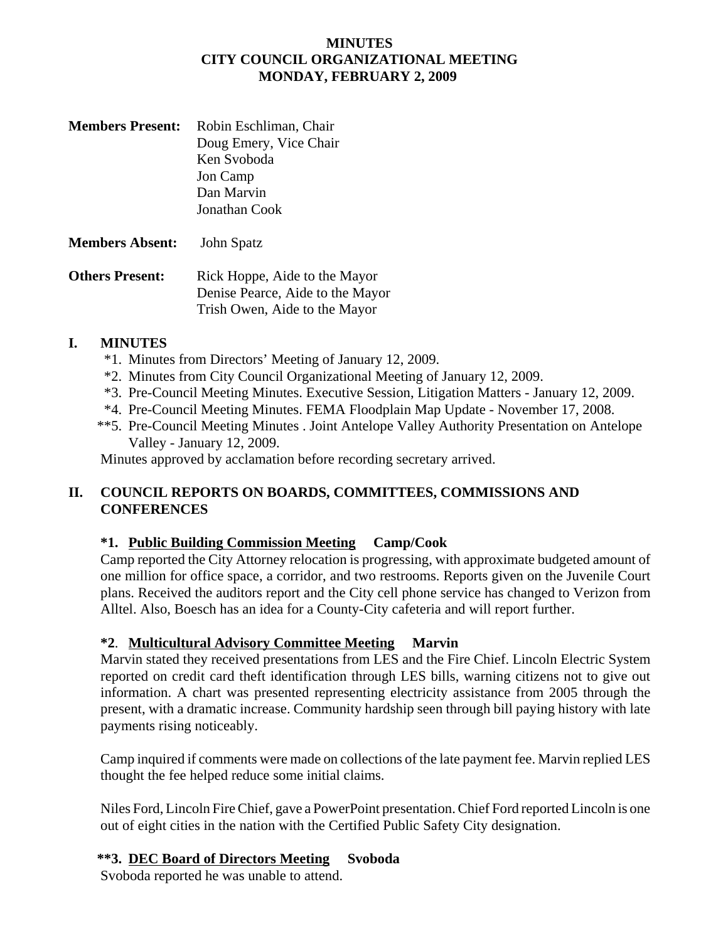### **MINUTES CITY COUNCIL ORGANIZATIONAL MEETING MONDAY, FEBRUARY 2, 2009**

| <b>Members Present:</b> | Robin Eschliman, Chair |
|-------------------------|------------------------|
|                         | Doug Emery, Vice Chair |
|                         | Ken Svoboda            |
|                         | Jon Camp               |
|                         | Dan Marvin             |
|                         | Jonathan Cook          |
|                         |                        |

**Members Absent:** John Spatz

**Others Present:** Rick Hoppe, Aide to the Mayor Denise Pearce, Aide to the Mayor Trish Owen, Aide to the Mayor

# **I. MINUTES**

- \*1. Minutes from Directors' Meeting of January 12, 2009.
- \*2. Minutes from City Council Organizational Meeting of January 12, 2009.
- \*3. Pre-Council Meeting Minutes. Executive Session, Litigation Matters January 12, 2009.
- \*4. Pre-Council Meeting Minutes. FEMA Floodplain Map Update November 17, 2008.
- \*\*5. Pre-Council Meeting Minutes . Joint Antelope Valley Authority Presentation on Antelope Valley - January 12, 2009.

Minutes approved by acclamation before recording secretary arrived.

# **II. COUNCIL REPORTS ON BOARDS, COMMITTEES, COMMISSIONS AND CONFERENCES**

# **\*1. Public Building Commission Meeting Camp/Cook**

Camp reported the City Attorney relocation is progressing, with approximate budgeted amount of one million for office space, a corridor, and two restrooms. Reports given on the Juvenile Court plans. Received the auditors report and the City cell phone service has changed to Verizon from Alltel. Also, Boesch has an idea for a County-City cafeteria and will report further.

# **\*2**. **Multicultural Advisory Committee Meeting Marvin**

Marvin stated they received presentations from LES and the Fire Chief. Lincoln Electric System reported on credit card theft identification through LES bills, warning citizens not to give out information. A chart was presented representing electricity assistance from 2005 through the present, with a dramatic increase. Community hardship seen through bill paying history with late payments rising noticeably.

Camp inquired if comments were made on collections of the late payment fee. Marvin replied LES thought the fee helped reduce some initial claims.

Niles Ford, Lincoln Fire Chief, gave a PowerPoint presentation. Chief Ford reported Lincoln is one out of eight cities in the nation with the Certified Public Safety City designation.

# **\*\*3. DEC Board of Directors Meeting Svoboda**

Svoboda reported he was unable to attend.